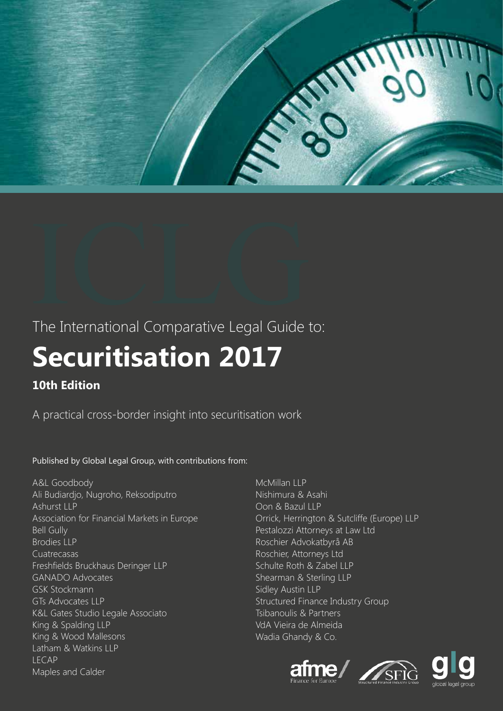

# The International Comparative Legal Guide to:

# **Securitisation 2017**

# **10th Edition**

A practical cross-border insight into securitisation work

# Published by Global Legal Group, with contributions from:

A&L Goodbody Ali Budiardjo, Nugroho, Reksodiputro Ashurst LLP Association for Financial Markets in Europe Bell Gully Brodies LLP Cuatrecasas Freshfields Bruckhaus Deringer LLP GANADO Advocates GSK Stockmann GTs Advocates LLP K&L Gates Studio Legale Associato King & Spalding LLP King & Wood Mallesons Latham & Watkins LLP LECAP Maples and Calder

McMillan LLP Nishimura & Asahi Oon & Bazul LLP Orrick, Herrington & Sutcliffe (Europe) LLP Pestalozzi Attorneys at Law Ltd Roschier Advokatbyrå AB Roschier, Attorneys Ltd Schulte Roth & Zabel LLP Shearman & Sterling LLP Sidley Austin LLP Structured Finance Industry Group Tsibanoulis & Partners VdA Vieira de Almeida Wadia Ghandy & Co.





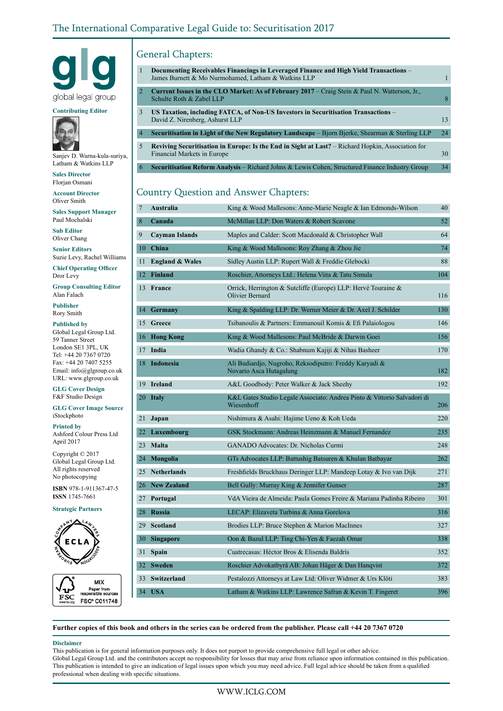

#### **Contributing Editor**



Sanjev D. Warna-kula-suriya, Latham & Watkins LLP

**Sales Director** Florjan Osmani

**Account Director** Oliver Smith

**Sales Support Manager** Paul Mochalski

**Sub Editor** Oliver Chang

**Senior Editors** Suzie Levy, Rachel Williams **Chief Operating Officer**

Dror Levy

**Group Consulting Editor** Alan Falach

**Publisher** Rory Smith

#### **Published by**

Global Legal Group Ltd. 59 Tanner Street London SE1 3PL, UK Tel: +44 20 7367 0720 Fax: +44 20 7407 5255 Email: info@glgroup.co.uk URL: www.glgroup.co.uk

**GLG Cover Design** F&F Studio Design

#### **GLG Cover Image Source** iStockphoto

**Printed by** Ashford Colour Press Ltd April 2017

Copyright © 2017 Global Legal Group Ltd. All rights reserved No photocopying

**ISBN** 978-1-911367-47-5 **ISSN** 1745-7661

**Strategic Partners**





# General Chapters:

| $\mathbf{1}$   | Documenting Receivables Financings in Leveraged Finance and High Yield Transactions –<br>James Burnett & Mo Nurmohamed, Latham & Watkins LLP |    |
|----------------|----------------------------------------------------------------------------------------------------------------------------------------------|----|
| 2              | Current Issues in the CLO Market: As of February 2017 – Craig Stein & Paul N. Watterson, Jr.,<br>Schulte Roth & Zabel LLP                    | 8  |
| 3              | US Taxation, including FATCA, of Non-US Investors in Securitisation Transactions –<br>David Z. Nirenberg, Ashurst LLP                        | 13 |
| $\overline{4}$ | <b>Securitisation in Light of the New Regulatory Landscape</b> – Bjorn Bjerke, Shearman & Sterling LLP                                       | 24 |
| 5              | Reviving Securitisation in Europe: Is the End in Sight at Last? – Richard Hopkin, Association for<br>Financial Markets in Europe             | 30 |
| 6              | <b>Securitisation Reform Analysis – Richard Johns &amp; Lewis Cohen, Structured Finance Industry Group</b>                                   | 34 |

# Country Question and Answer Chapters:

| 7               | King & Wood Mallesons: Anne-Marie Neagle & Ian Edmonds-Wilson<br>Australia      |                                                                                       |     |  |  |  |
|-----------------|---------------------------------------------------------------------------------|---------------------------------------------------------------------------------------|-----|--|--|--|
| 8               | McMillan LLP: Don Waters & Robert Scavone<br>Canada                             |                                                                                       |     |  |  |  |
| 9               | <b>Cayman Islands</b><br>Maples and Calder: Scott Macdonald & Christopher Wall  |                                                                                       |     |  |  |  |
| 10              | China<br>King & Wood Mallesons: Roy Zhang & Zhou Jie                            |                                                                                       |     |  |  |  |
| 11              | <b>England &amp; Wales</b><br>Sidley Austin LLP: Rupert Wall & Freddie Glebocki |                                                                                       |     |  |  |  |
| 12 <sup>7</sup> | Finland<br>Roschier, Attorneys Ltd.: Helena Viita & Tatu Simula                 |                                                                                       |     |  |  |  |
|                 | 13 France                                                                       | Orrick, Herrington & Sutcliffe (Europe) LLP: Hervé Touraine &<br>Olivier Bernard      |     |  |  |  |
| 14              | <b>Germany</b><br>King & Spalding LLP: Dr. Werner Meier & Dr. Axel J. Schilder  |                                                                                       | 130 |  |  |  |
| 15              | Greece<br>Tsibanoulis & Partners: Emmanouil Komis & Efi Palaiologou             |                                                                                       |     |  |  |  |
| 16              | <b>Hong Kong</b>                                                                | King & Wood Mallesons: Paul McBride & Darwin Goei                                     |     |  |  |  |
| 17              | India                                                                           | Wadia Ghandy & Co.: Shabnum Kajiji & Nihas Basheer                                    |     |  |  |  |
| 18              | Indonesia                                                                       | Ali Budiardjo, Nugroho, Reksodiputro: Freddy Karyadi &<br>Novario Asca Hutagalung     | 182 |  |  |  |
|                 | 19 Ireland<br>A&L Goodbody: Peter Walker & Jack Sheehy                          |                                                                                       |     |  |  |  |
| 20              | <b>Italy</b>                                                                    | K&L Gates Studio Legale Associato: Andrea Pinto & Vittorio Salvadori di<br>Wiesenhoff |     |  |  |  |
| 21              | Japan<br>Nishimura & Asahi: Hajime Ueno & Koh Ueda                              |                                                                                       |     |  |  |  |
| 22              | Luxembourg                                                                      | GSK Stockmann: Andreas Heinzmann & Manuel Fernandez                                   | 235 |  |  |  |
|                 | 23 Malta                                                                        | <b>GANADO Advocates: Dr. Nicholas Curmi</b>                                           |     |  |  |  |
| 24              | Mongolia                                                                        | GTs Advocates LLP: Battushig Batsuren & Khulan Batbayar                               | 262 |  |  |  |
| 25              | <b>Netherlands</b>                                                              | Freshfields Bruckhaus Deringer LLP: Mandeep Lotay & Ivo van Dijk                      | 271 |  |  |  |
| 26              | <b>New Zealand</b>                                                              | Bell Gully: Murray King & Jennifer Gunser                                             | 287 |  |  |  |
| 27              | Portugal                                                                        | VdA Vieira de Almeida: Paula Gomes Freire & Mariana Padinha Ribeiro                   | 301 |  |  |  |
| 28              | <b>Russia</b>                                                                   | LECAP: Elizaveta Turbina & Anna Gorelova                                              | 316 |  |  |  |
| 29              | Scotland                                                                        | Brodies LLP: Bruce Stephen & Marion MacInnes                                          |     |  |  |  |
| 30-             | <b>Singapore</b>                                                                | Oon & Bazul LLP: Ting Chi-Yen & Faezah Omar                                           | 338 |  |  |  |
| 31              | <b>Spain</b>                                                                    | Cuatrecasas: Héctor Bros & Elisenda Baldrís                                           | 352 |  |  |  |
| 32              | <b>Sweden</b>                                                                   | Roschier Advokatbyrå AB: Johan Häger & Dan Hanqvist                                   | 372 |  |  |  |
|                 | 33 Switzerland<br>Pestalozzi Attorneys at Law Ltd: Oliver Widmer & Urs Klöti    |                                                                                       |     |  |  |  |
|                 | 34 USA                                                                          | Latham & Watkins LLP: Lawrence Safran & Kevin T. Fingeret                             | 396 |  |  |  |

**Further copies of this book and others in the series can be ordered from the publisher. Please call +44 20 7367 0720**

#### **Disclaimer**

This publication is for general information purposes only. It does not purport to provide comprehensive full legal or other advice. Global Legal Group Ltd. and the contributors accept no responsibility for losses that may arise from reliance upon information contained in this publication. This publication is intended to give an indication of legal issues upon which you may need advice. Full legal advice should be taken from a qualified professional when dealing with specific situations.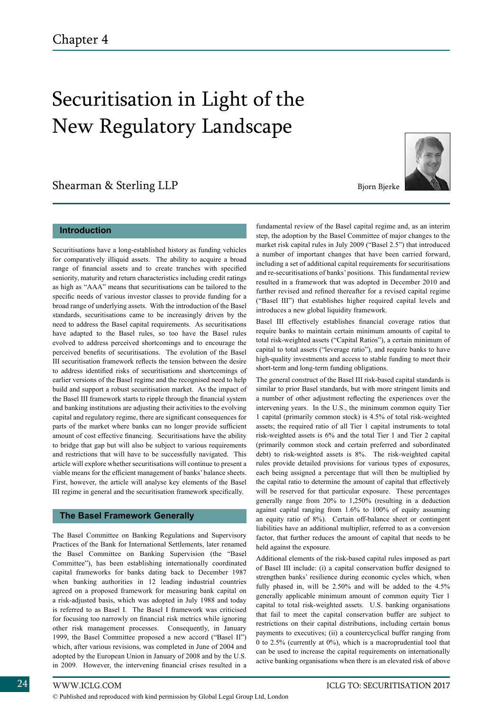# Securitisation in Light of the New Regulatory Landscape

# Shearman & Sterling LLP Bjorn Bjerke





Securitisations have a long-established history as funding vehicles for comparatively illiquid assets. The ability to acquire a broad range of financial assets and to create tranches with specified seniority, maturity and return characteristics including credit ratings as high as "AAA" means that securitisations can be tailored to the specific needs of various investor classes to provide funding for a broad range of underlying assets. With the introduction of the Basel standards, securitisations came to be increasingly driven by the need to address the Basel capital requirements. As securitisations have adapted to the Basel rules, so too have the Basel rules evolved to address perceived shortcomings and to encourage the perceived benefits of securitisations. The evolution of the Basel III securitisation framework reflects the tension between the desire to address identified risks of securitisations and shortcomings of earlier versions of the Basel regime and the recognised need to help build and support a robust securitisation market. As the impact of the Basel III framework starts to ripple through the financial system and banking institutions are adjusting their activities to the evolving capital and regulatory regime, there are significant consequences for parts of the market where banks can no longer provide sufficient amount of cost effective financing. Securitisations have the ability to bridge that gap but will also be subject to various requirements and restrictions that will have to be successfully navigated. This article will explore whether securitisations will continue to present a viable means for the efficient management of banks' balance sheets. First, however, the article will analyse key elements of the Basel III regime in general and the securitisation framework specifically.

## **The Basel Framework Generally**

The Basel Committee on Banking Regulations and Supervisory Practices of the Bank for International Settlements, later renamed the Basel Committee on Banking Supervision (the "Basel Committee"), has been establishing internationally coordinated capital frameworks for banks dating back to December 1987 when banking authorities in 12 leading industrial countries agreed on a proposed framework for measuring bank capital on a risk-adjusted basis, which was adopted in July 1988 and today is referred to as Basel I. The Basel I framework was criticised for focusing too narrowly on financial risk metrics while ignoring other risk management processes. Consequently, in January 1999, the Basel Committee proposed a new accord ("Basel II") which, after various revisions, was completed in June of 2004 and adopted by the European Union in January of 2008 and by the U.S. in 2009. However, the intervening financial crises resulted in a

fundamental review of the Basel capital regime and, as an interim step, the adoption by the Basel Committee of major changes to the market risk capital rules in July 2009 ("Basel 2.5") that introduced a number of important changes that have been carried forward, including a set of additional capital requirements for securitisations and re-securitisations of banks' positions. This fundamental review resulted in a framework that was adopted in December 2010 and further revised and refined thereafter for a revised capital regime ("Basel III") that establishes higher required capital levels and introduces a new global liquidity framework.

Basel III effectively establishes financial coverage ratios that require banks to maintain certain minimum amounts of capital to total risk-weighted assets ("Capital Ratios"), a certain minimum of capital to total assets ("leverage ratio"), and require banks to have high-quality investments and access to stable funding to meet their short-term and long-term funding obligations.

The general construct of the Basel III risk-based capital standards is similar to prior Basel standards, but with more stringent limits and a number of other adjustment reflecting the experiences over the intervening years. In the U.S., the minimum common equity Tier 1 capital (primarily common stock) is 4.5% of total risk-weighted assets; the required ratio of all Tier 1 capital instruments to total risk-weighted assets is 6% and the total Tier 1 and Tier 2 capital (primarily common stock and certain preferred and subordinated debt) to risk-weighted assets is 8%. The risk-weighted capital rules provide detailed provisions for various types of exposures, each being assigned a percentage that will then be multiplied by the capital ratio to determine the amount of capital that effectively will be reserved for that particular exposure. These percentages generally range from 20% to 1,250% (resulting in a deduction against capital ranging from 1.6% to 100% of equity assuming an equity ratio of 8%). Certain off-balance sheet or contingent liabilities have an additional multiplier, referred to as a conversion factor, that further reduces the amount of capital that needs to be held against the exposure.

Additional elements of the risk-based capital rules imposed as part of Basel III include: (i) a capital conservation buffer designed to strengthen banks' resilience during economic cycles which, when fully phased in, will be 2.50% and will be added to the 4.5% generally applicable minimum amount of common equity Tier 1 capital to total risk-weighted assets. U.S. banking organisations that fail to meet the capital conservation buffer are subject to restrictions on their capital distributions, including certain bonus payments to executives; (ii) a countercyclical buffer ranging from 0 to 2.5% (currently at 0%), which is a macroprudential tool that can be used to increase the capital requirements on internationally active banking organisations when there is an elevated risk of above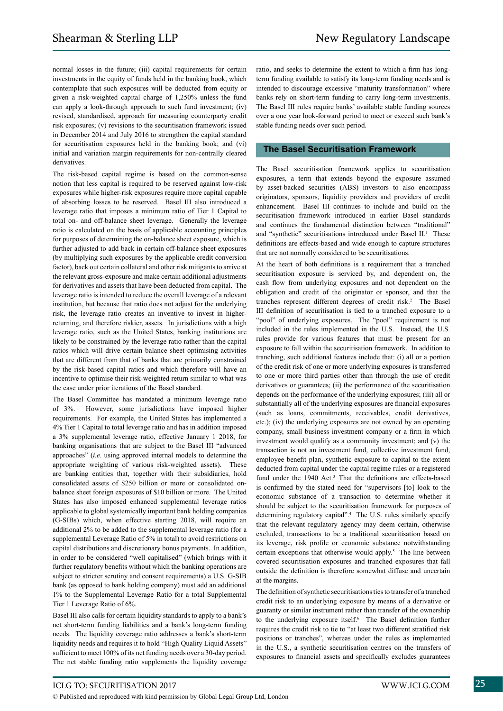normal losses in the future; (iii) capital requirements for certain investments in the equity of funds held in the banking book, which contemplate that such exposures will be deducted from equity or given a risk-weighted capital charge of 1,250% unless the fund can apply a look-through approach to such fund investment; (iv) revised, standardised, approach for measuring counterparty credit risk exposures; (v) revisions to the securitisation framework issued in December 2014 and July 2016 to strengthen the capital standard for securitisation exposures held in the banking book; and (vi) initial and variation margin requirements for non-centrally cleared derivatives.

The risk-based capital regime is based on the common-sense notion that less capital is required to be reserved against low-risk exposures while higher-risk exposures require more capital capable of absorbing losses to be reserved. Basel III also introduced a leverage ratio that imposes a minimum ratio of Tier 1 Capital to total on- and off-balance sheet leverage. Generally the leverage ratio is calculated on the basis of applicable accounting principles for purposes of determining the on-balance sheet exposure, which is further adjusted to add back in certain off-balance sheet exposures (by multiplying such exposures by the applicable credit conversion factor), back out certain collateral and other risk mitigants to arrive at the relevant gross-exposure and make certain additional adjustments for derivatives and assets that have been deducted from capital. The leverage ratio is intended to reduce the overall leverage of a relevant institution, but because that ratio does not adjust for the underlying risk, the leverage ratio creates an inventive to invest in higherreturning, and therefore riskier, assets. In jurisdictions with a high leverage ratio, such as the United States, banking institutions are likely to be constrained by the leverage ratio rather than the capital ratios which will drive certain balance sheet optimising activities that are different from that of banks that are primarily constrained by the risk-based capital ratios and which therefore will have an incentive to optimise their risk-weighted return similar to what was the case under prior iterations of the Basel standard.

The Basel Committee has mandated a minimum leverage ratio of 3%. However, some jurisdictions have imposed higher requirements. For example, the United States has implemented a 4% Tier 1 Capital to total leverage ratio and has in addition imposed a 3% supplemental leverage ratio, effective January 1 2018, for banking organisations that are subject to the Basel III "advanced approaches" (*i.e.* using approved internal models to determine the appropriate weighting of various risk-weighted assets). These are banking entities that, together with their subsidiaries, hold consolidated assets of \$250 billion or more or consolidated onbalance sheet foreign exposures of \$10 billion or more. The United States has also imposed enhanced supplemental leverage ratios applicable to global systemically important bank holding companies (G-SIBs) which, when effective starting 2018, will require an additional 2% to be added to the supplemental leverage ratio (for a supplemental Leverage Ratio of 5% in total) to avoid restrictions on capital distributions and discretionary bonus payments. In addition, in order to be considered "well capitalised" (which brings with it further regulatory benefits without which the banking operations are subject to stricter scrutiny and consent requirements) a U.S. G-SIB bank (as opposed to bank holding company) must add an additional 1% to the Supplemental Leverage Ratio for a total Supplemental Tier 1 Leverage Ratio of 6%.

Basel III also calls for certain liquidity standards to apply to a bank's net short-term funding liabilities and a bank's long-term funding needs. The liquidity coverage ratio addresses a bank's short-term liquidity needs and requires it to hold "High Quality Liquid Assets" sufficient to meet 100% of its net funding needs over a 30-day period. The net stable funding ratio supplements the liquidity coverage ratio, and seeks to determine the extent to which a firm has longterm funding available to satisfy its long-term funding needs and is intended to discourage excessive "maturity transformation" where banks rely on short-term funding to carry long-term investments. The Basel III rules require banks' available stable funding sources over a one year look-forward period to meet or exceed such bank's stable funding needs over such period.

# **The Basel Securitisation Framework**

The Basel securitisation framework applies to securitisation exposures, a term that extends beyond the exposure assumed by asset-backed securities (ABS) investors to also encompass originators, sponsors, liquidity providers and providers of credit enhancement. Basel III continues to include and build on the securitisation framework introduced in earlier Basel standards and continues the fundamental distinction between "traditional" and "synthetic" securitisations introduced under Basel II.<sup>1</sup> These definitions are effects-based and wide enough to capture structures that are not normally considered to be securitisations.

At the heart of both definitions is a requirement that a tranched securitisation exposure is serviced by, and dependent on, the cash flow from underlying exposures and not dependent on the obligation and credit of the originator or sponsor, and that the tranches represent different degrees of credit risk.<sup>2</sup> The Basel III definition of securitisation is tied to a tranched exposure to a "pool" of underlying exposures. The "pool" requirement is not included in the rules implemented in the U.S. Instead, the U.S. rules provide for various features that must be present for an exposure to fall within the securitisation framework. In addition to tranching, such additional features include that: (i) all or a portion of the credit risk of one or more underlying exposures is transferred to one or more third parties other than through the use of credit derivatives or guarantees; (ii) the performance of the securitisation depends on the performance of the underlying exposures; (iii) all or substantially all of the underlying exposures are financial exposures (such as loans, commitments, receivables, credit derivatives, etc.); (iv) the underlying exposures are not owned by an operating company, small business investment company or a firm in which investment would qualify as a community investment; and (v) the transaction is not an investment fund, collective investment fund, employee benefit plan, synthetic exposure to capital to the extent deducted from capital under the capital regime rules or a registered fund under the 1940 Act.<sup>3</sup> That the definitions are effects-based is confirmed by the stated need for "supervisors [to] look to the economic substance of a transaction to determine whether it should be subject to the securitisation framework for purposes of determining regulatory capital".<sup>4</sup> The U.S. rules similarly specify that the relevant regulatory agency may deem certain, otherwise excluded, transactions to be a traditional securitisation based on its leverage, risk profile or economic substance notwithstanding certain exceptions that otherwise would apply.<sup>5</sup> The line between covered securitisation exposures and tranched exposures that fall outside the definition is therefore somewhat diffuse and uncertain at the margins.

The definition of synthetic securitisations ties to transfer of a tranched credit risk to an underlying exposure by means of a derivative or guaranty or similar instrument rather than transfer of the ownership to the underlying exposure itself.<sup>6</sup> The Basel definition further requires the credit risk to tie to "at least two different stratified risk positions or tranches", whereas under the rules as implemented in the U.S., a synthetic securitisation centres on the transfers of exposures to financial assets and specifically excludes guarantees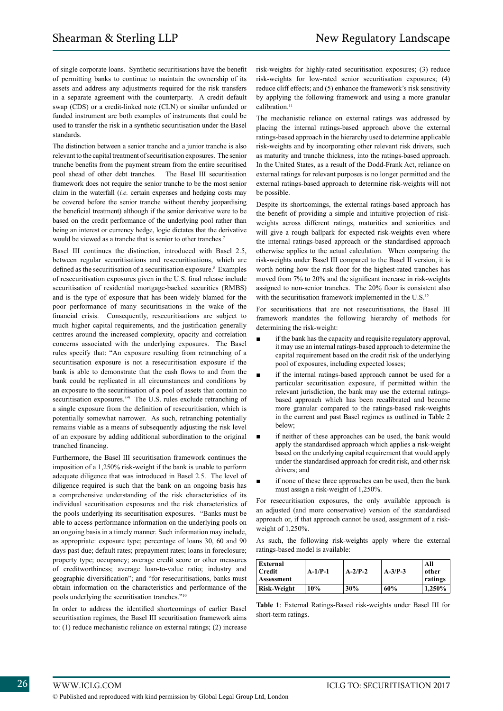of single corporate loans. Synthetic securitisations have the benefit of permitting banks to continue to maintain the ownership of its assets and address any adjustments required for the risk transfers in a separate agreement with the counterparty. A credit default swap (CDS) or a credit-linked note (CLN) or similar unfunded or funded instrument are both examples of instruments that could be used to transfer the risk in a synthetic securitisation under the Basel standards.

The distinction between a senior tranche and a junior tranche is also relevant to the capital treatment of securitisation exposures. The senior tranche benefits from the payment stream from the entire securitised pool ahead of other debt tranches. The Basel III securitisation framework does not require the senior tranche to be the most senior claim in the waterfall (*i.e.* certain expenses and hedging costs may be covered before the senior tranche without thereby jeopardising the beneficial treatment) although if the senior derivative were to be based on the credit performance of the underlying pool rather than being an interest or currency hedge, logic dictates that the derivative would be viewed as a tranche that is senior to other tranches.<sup>7</sup>

Basel III continues the distinction, introduced with Basel 2.5, between regular securitisations and resecuritisations, which are defined as the securitisation of a securitisation exposure.<sup>8</sup> Examples of resecuritisation exposures given in the U.S. final release include securitisation of residential mortgage-backed securities (RMBS) and is the type of exposure that has been widely blamed for the poor performance of many securitisations in the wake of the financial crisis. Consequently, resecuritisations are subject to much higher capital requirements, and the justification generally centres around the increased complexity, opacity and correlation concerns associated with the underlying exposures. The Basel rules specify that: "An exposure resulting from retranching of a securitisation exposure is not a resecuritisation exposure if the bank is able to demonstrate that the cash flows to and from the bank could be replicated in all circumstances and conditions by an exposure to the securitisation of a pool of assets that contain no securitisation exposures."<sup>9</sup> The U.S. rules exclude retranching of a single exposure from the definition of resecuritisation, which is potentially somewhat narrower. As such, retranching potentially remains viable as a means of subsequently adjusting the risk level of an exposure by adding additional subordination to the original tranched financing.

Furthermore, the Basel III securitisation framework continues the imposition of a 1,250% risk-weight if the bank is unable to perform adequate diligence that was introduced in Basel 2.5. The level of diligence required is such that the bank on an ongoing basis has a comprehensive understanding of the risk characteristics of its individual securitisation exposures and the risk characteristics of the pools underlying its securitisation exposures. "Banks must be able to access performance information on the underlying pools on an ongoing basis in a timely manner. Such information may include, as appropriate: exposure type; percentage of loans 30, 60 and 90 days past due; default rates; prepayment rates; loans in foreclosure; property type; occupancy; average credit score or other measures of creditworthiness; average loan-to-value ratio; industry and geographic diversification"; and "for resecuritisations, banks must obtain information on the characteristics and performance of the pools underlying the securitisation tranches."10

In order to address the identified shortcomings of earlier Basel securitisation regimes, the Basel III securitisation framework aims to: (1) reduce mechanistic reliance on external ratings; (2) increase risk-weights for highly-rated securitisation exposures; (3) reduce risk-weights for low-rated senior securitisation exposures; (4) reduce cliff effects; and (5) enhance the framework's risk sensitivity by applying the following framework and using a more granular calibration.<sup>11</sup>

The mechanistic reliance on external ratings was addressed by placing the internal ratings-based approach above the external ratings-based approach in the hierarchy used to determine applicable risk-weights and by incorporating other relevant risk drivers, such as maturity and tranche thickness, into the ratings-based approach. In the United States, as a result of the Dodd-Frank Act, reliance on external ratings for relevant purposes is no longer permitted and the external ratings-based approach to determine risk-weights will not be possible.

Despite its shortcomings, the external ratings-based approach has the benefit of providing a simple and intuitive projection of riskweights across different ratings, maturities and seniorities and will give a rough ballpark for expected risk-weights even where the internal ratings-based approach or the standardised approach otherwise applies to the actual calculation. When comparing the risk-weights under Basel III compared to the Basel II version, it is worth noting how the risk floor for the highest-rated tranches has moved from 7% to 20% and the significant increase in risk-weights assigned to non-senior tranches. The 20% floor is consistent also with the securitisation framework implemented in the U.S.<sup>12</sup>

For securitisations that are not resecuritisations, the Basel III framework mandates the following hierarchy of methods for determining the risk-weight:

- if the bank has the capacity and requisite regulatory approval. it may use an internal ratings-based approach to determine the capital requirement based on the credit risk of the underlying pool of exposures, including expected losses;
- if the internal ratings-based approach cannot be used for a particular securitisation exposure, if permitted within the relevant jurisdiction, the bank may use the external ratingsbased approach which has been recalibrated and become more granular compared to the ratings-based risk-weights in the current and past Basel regimes as outlined in Table 2 below;
- if neither of these approaches can be used, the bank would apply the standardised approach which applies a risk-weight based on the underlying capital requirement that would apply under the standardised approach for credit risk, and other risk drivers; and
- if none of these three approaches can be used, then the bank must assign a risk-weight of 1,250%.

For resecuritisation exposures, the only available approach is an adjusted (and more conservative) version of the standardised approach or, if that approach cannot be used, assignment of a riskweight of 1,250%.

As such, the following risk-weights apply where the external ratings-based model is available:

| External<br><b>Credit</b><br>Assessment | $A-1/P-1$ | $A-2/P-2$ | $A-3/P-3$ | All<br>other<br>ratings |
|-----------------------------------------|-----------|-----------|-----------|-------------------------|
| Risk-Weight                             | 10%       | 30%       | 60%       | 1.250%                  |

**Table 1**: External Ratings-Based risk-weights under Basel III for short-term ratings.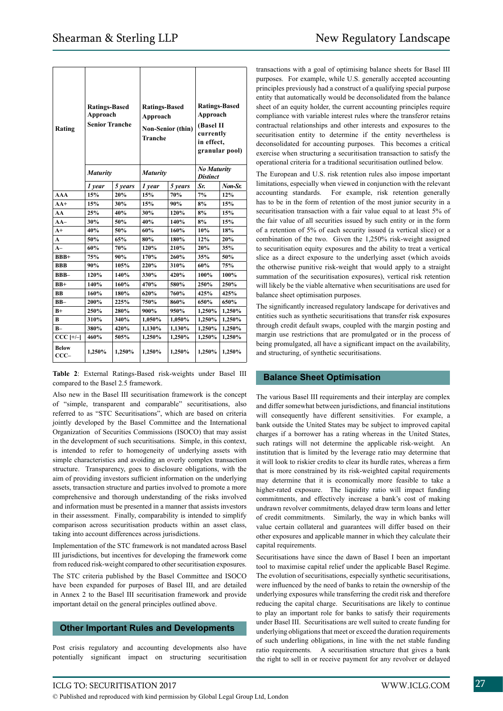| Rating                 | <b>Ratings-Based</b><br>Approach<br><b>Senior Tranche</b> |         | <b>Ratings-Based</b><br>Approach<br><b>Non-Senior (thin)</b><br><b>Tranche</b> |         | <b>Ratings-Based</b><br>Approach<br>(Basel II<br>currently<br>in effect,<br>granular pool) |         |
|------------------------|-----------------------------------------------------------|---------|--------------------------------------------------------------------------------|---------|--------------------------------------------------------------------------------------------|---------|
|                        | <b>Maturity</b>                                           |         | <b>Maturity</b>                                                                |         | <b>No Maturity</b><br><b>Distinct</b>                                                      |         |
|                        | 1 year                                                    | 5 years | 1 year                                                                         | 5 years | Sr.                                                                                        | Non-Sr. |
| <b>AAA</b>             | 15%                                                       | 20%     | 15%                                                                            | 70%     | 7%                                                                                         | 12%     |
| $AA+$                  | 15%                                                       | 30%     | 15%                                                                            | 90%     | 8%                                                                                         | 15%     |
| AA                     | 25%                                                       | 40%     | 30%                                                                            | 120%    | 8%                                                                                         | 15%     |
| $AA-$                  | 30%                                                       | 50%     | 40%                                                                            | 140%    | 8%                                                                                         | 15%     |
| $A+$                   | 40%                                                       | 50%     | 60%                                                                            | 160%    | 10%                                                                                        | 18%     |
| A                      | 50%                                                       | 65%     | 80%                                                                            | 180%    | 12%                                                                                        | 20%     |
| $A-$                   | 60%                                                       | 70%     | 120%                                                                           | 210%    | 20%                                                                                        | 35%     |
| $BBB+$                 | 75%                                                       | 90%     | 170%                                                                           | 260%    | 35%                                                                                        | 50%     |
| <b>BBB</b>             | 90%                                                       | 105%    | 220%                                                                           | 310%    | 60%                                                                                        | 75%     |
| BBB-                   | 120%                                                      | 140%    | 330%                                                                           | 420%    | 100%                                                                                       | 100%    |
| $BB+$                  | 140%                                                      | 160%    | 470%                                                                           | 580%    | 250%                                                                                       | 250%    |
| <b>BB</b>              | 160%                                                      | 180%    | 620%                                                                           | 760%    | 425%                                                                                       | 425%    |
| $BB-$                  | 200%                                                      | 225%    | 750%                                                                           | 860%    | 650%                                                                                       | 650%    |
| $B+$                   | 250%                                                      | 280%    | 900%                                                                           | 950%    | 1,250%                                                                                     | 1,250%  |
| B                      | 310%                                                      | 340%    | 1,050%                                                                         | 1,050%  | 1,250%                                                                                     | 1,250%  |
| $B -$                  | 380%                                                      | 420%    | 1,130%                                                                         | 1,130%  | 1,250%                                                                                     | 1,250%  |
| $CCC$ [+/-]            | 460%                                                      | 505%    | 1,250%                                                                         | 1,250%  | 1,250%                                                                                     | 1,250%  |
| <b>Below</b><br>$CCC-$ | 1,250%                                                    | 1,250%  | 1,250%                                                                         | 1,250%  | 1,250%                                                                                     | 1,250%  |

**Table 2**: External Ratings-Based risk-weights under Basel III compared to the Basel 2.5 framework.

Also new in the Basel III securitisation framework is the concept of "simple, transparent and comparable" securitisations, also referred to as "STC Securitisations", which are based on criteria jointly developed by the Basel Committee and the International Organization of Securities Commissions (ISOCO) that may assist in the development of such securitisations. Simple, in this context, is intended to refer to homogeneity of underlying assets with simple characteristics and avoiding an overly complex transaction structure. Transparency, goes to disclosure obligations, with the aim of providing investors sufficient information on the underlying assets, transaction structure and parties involved to promote a more comprehensive and thorough understanding of the risks involved and information must be presented in a manner that assists investors in their assessment. Finally, comparability is intended to simplify comparison across securitisation products within an asset class, taking into account differences across jurisdictions.

Implementation of the STC framework is not mandated across Basel III jurisdictions, but incentives for developing the framework come from reduced risk-weight compared to other securitisation exposures.

The STC criteria published by the Basel Committee and ISOCO have been expanded for purposes of Basel III, and are detailed in Annex 2 to the Basel III securitisation framework and provide important detail on the general principles outlined above.

# **Other Important Rules and Developments**

Post crisis regulatory and accounting developments also have potentially significant impact on structuring securitisation

transactions with a goal of optimising balance sheets for Basel III purposes. For example, while U.S. generally accepted accounting principles previously had a construct of a qualifying special purpose entity that automatically would be deconsolidated from the balance sheet of an equity holder, the current accounting principles require compliance with variable interest rules where the transferor retains contractual relationships and other interests and exposures to the securitisation entity to determine if the entity nevertheless is deconsolidated for accounting purposes. This becomes a critical exercise when structuring a securitisation transaction to satisfy the operational criteria for a traditional securitisation outlined below.

The European and U.S. risk retention rules also impose important limitations, especially when viewed in conjunction with the relevant accounting standards. For example, risk retention generally has to be in the form of retention of the most junior security in a securitisation transaction with a fair value equal to at least 5% of the fair value of all securities issued by such entity or in the form of a retention of 5% of each security issued (a vertical slice) or a combination of the two. Given the 1,250% risk-weight assigned to securitisation equity exposures and the ability to treat a vertical slice as a direct exposure to the underlying asset (which avoids the otherwise punitive risk-weight that would apply to a straight summation of the securitisation exposures), vertical risk retention will likely be the viable alternative when securitisations are used for balance sheet optimisation purposes.

The significantly increased regulatory landscape for derivatives and entities such as synthetic securitisations that transfer risk exposures through credit default swaps, coupled with the margin posting and margin use restrictions that are promulgated or in the process of being promulgated, all have a significant impact on the availability, and structuring, of synthetic securitisations.

# **Balance Sheet Optimisation**

The various Basel III requirements and their interplay are complex and differ somewhat between jurisdictions, and financial institutions will consequently have different sensitivities. For example, a bank outside the United States may be subject to improved capital charges if a borrower has a rating whereas in the United States, such ratings will not determine the applicable risk-weight. An institution that is limited by the leverage ratio may determine that it will look to riskier credits to clear its hurdle rates, whereas a firm that is more constrained by its risk-weighted capital requirements may determine that it is economically more feasible to take a higher-rated exposure. The liquidity ratio will impact funding commitments, and effectively increase a bank's cost of making undrawn revolver commitments, delayed draw term loans and letter of credit commitments. Similarly, the way in which banks will value certain collateral and guarantees will differ based on their other exposures and applicable manner in which they calculate their capital requirements.

Securitisations have since the dawn of Basel I been an important tool to maximise capital relief under the applicable Basel Regime. The evolution of securitisations, especially synthetic securitisations, were influenced by the need of banks to retain the ownership of the underlying exposures while transferring the credit risk and therefore reducing the capital charge. Securitisations are likely to continue to play an important role for banks to satisfy their requirements under Basel III. Securitisations are well suited to create funding for underlying obligations that meet or exceed the duration requirements of such underling obligations, in line with the net stable funding ratio requirements. A securitisation structure that gives a bank the right to sell in or receive payment for any revolver or delayed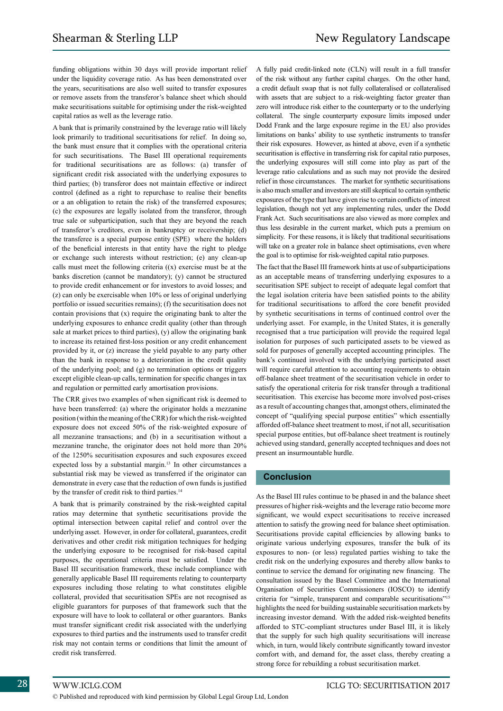funding obligations within 30 days will provide important relief under the liquidity coverage ratio. As has been demonstrated over the years, securitisations are also well suited to transfer exposures or remove assets from the transferor's balance sheet which should make securitisations suitable for optimising under the risk-weighted capital ratios as well as the leverage ratio.

A bank that is primarily constrained by the leverage ratio will likely look primarily to traditional securitisations for relief. In doing so, the bank must ensure that it complies with the operational criteria for such securitisations. The Basel III operational requirements for traditional securitisations are as follows: (a) transfer of significant credit risk associated with the underlying exposures to third parties; (b) transferor does not maintain effective or indirect control (defined as a right to repurchase to realise their benefits or a an obligation to retain the risk) of the transferred exposures; (c) the exposures are legally isolated from the transferor, through true sale or subparticipation, such that they are beyond the reach of transferor's creditors, even in bankruptcy or receivership; (d) the transferee is a special purpose entity (SPE) where the holders of the beneficial interests in that entity have the right to pledge or exchange such interests without restriction; (e) any clean-up calls must meet the following criteria ((x) exercise must be at the banks discretion (cannot be mandatory); (y) cannot be structured to provide credit enhancement or for investors to avoid losses; and (z) can only be exercisable when 10% or less of original underlying portfolio or issued securities remains); (f) the securitisation does not contain provisions that (x) require the originating bank to alter the underlying exposures to enhance credit quality (other than through sale at market prices to third parties), (y) allow the originating bank to increase its retained first-loss position or any credit enhancement provided by it, or (z) increase the yield payable to any party other than the bank in response to a deterioration in the credit quality of the underlying pool; and (g) no termination options or triggers except eligible clean-up calls, termination for specific changes in tax and regulation or permitted early amortisation provisions.

The CRR gives two examples of when significant risk is deemed to have been transferred: (a) where the originator holds a mezzanine position (within the meaning of the CRR) for which the risk-weighted exposure does not exceed 50% of the risk-weighted exposure of all mezzanine transactions; and (b) in a securitisation without a mezzanine tranche, the originator does not hold more than 20% of the 1250% securitisation exposures and such exposures exceed expected loss by a substantial margin.<sup>13</sup> In other circumstances a substantial risk may be viewed as transferred if the originator can demonstrate in every case that the reduction of own funds is justified by the transfer of credit risk to third parties.<sup>14</sup>

A bank that is primarily constrained by the risk-weighted capital ratios may determine that synthetic securitisations provide the optimal intersection between capital relief and control over the underlying asset. However, in order for collateral, guarantees, credit derivatives and other credit risk mitigation techniques for hedging the underlying exposure to be recognised for risk-based capital purposes, the operational criteria must be satisfied. Under the Basel III securitisation framework, these include compliance with generally applicable Basel III requirements relating to counterparty exposures including those relating to what constitutes eligible collateral, provided that securitisation SPEs are not recognised as eligible guarantors for purposes of that framework such that the exposure will have to look to collateral or other guarantors. Banks must transfer significant credit risk associated with the underlying exposures to third parties and the instruments used to transfer credit risk may not contain terms or conditions that limit the amount of credit risk transferred.

A fully paid credit-linked note (CLN) will result in a full transfer of the risk without any further capital charges. On the other hand, a credit default swap that is not fully collateralised or collateralised with assets that are subject to a risk-weighting factor greater than zero will introduce risk either to the counterparty or to the underlying collateral. The single counterparty exposure limits imposed under Dodd Frank and the large exposure regime in the EU also provides limitations on banks' ability to use synthetic instruments to transfer their risk exposures. However, as hinted at above, even if a synthetic securitisation is effective in transferring risk for capital ratio purposes, the underlying exposures will still come into play as part of the leverage ratio calculations and as such may not provide the desired relief in those circumstances. The market for synthetic securitisations is also much smaller and investors are still skeptical to certain synthetic exposures of the type that have given rise to certain conflicts of interest legislation, though not yet any implementing rules, under the Dodd Frank Act. Such securitisations are also viewed as more complex and thus less desirable in the current market, which puts a premium on simplicity. For these reasons, it is likely that traditional securitisations will take on a greater role in balance sheet optimisations, even where the goal is to optimise for risk-weighted capital ratio purposes.

The fact that the Basel III framework hints at use of subparticipations as an acceptable means of transferring underlying exposures to a securitisation SPE subject to receipt of adequate legal comfort that the legal isolation criteria have been satisfied points to the ability for traditional securitisations to afford the core benefit provided by synthetic securitisations in terms of continued control over the underlying asset. For example, in the United States, it is generally recognised that a true participation will provide the required legal isolation for purposes of such participated assets to be viewed as sold for purposes of generally accepted accounting principles. The bank's continued involved with the underlying participated asset will require careful attention to accounting requirements to obtain off-balance sheet treatment of the securitisation vehicle in order to satisfy the operational criteria for risk transfer through a traditional securitisation. This exercise has become more involved post-crises as a result of accounting changes that, amongst others, eliminated the concept of "qualifying special purpose entities" which essentially afforded off-balance sheet treatment to most, if not all, securitisation special purpose entities, but off-balance sheet treatment is routinely achieved using standard, generally accepted techniques and does not present an insurmountable hurdle.

# **Conclusion**

As the Basel III rules continue to be phased in and the balance sheet pressures of higher risk-weights and the leverage ratio become more significant, we would expect securitisations to receive increased attention to satisfy the growing need for balance sheet optimisation. Securitisations provide capital efficiencies by allowing banks to originate various underlying exposures, transfer the bulk of its exposures to non- (or less) regulated parties wishing to take the credit risk on the underlying exposures and thereby allow banks to continue to service the demand for originating new financing. The consultation issued by the Basel Committee and the International Organisation of Securities Commissioners (IOSCO) to identify criteria for "simple, transparent and comparable securitisations"15 highlights the need for building sustainable securitisation markets by increasing investor demand. With the added risk-weighted benefits afforded to STC-compliant structures under Basel III, it is likely that the supply for such high quality securitisations will increase which, in turn, would likely contribute significantly toward investor comfort with, and demand for, the asset class, thereby creating a strong force for rebuilding a robust securitisation market.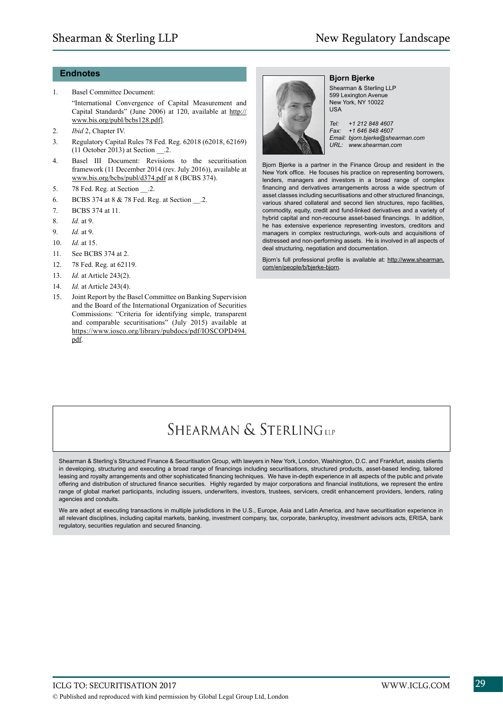# **Endnotes**

- 1. Basel Committee Document: "International Convergence of Capital Measurement and Capital Standards" (June 2006) at 120, available at http:// www.bis.org/publ/bcbs128.pdf].
- 2. *Ibid* 2, Chapter IV.
- 3. Regulatory Capital Rules 78 Fed. Reg. 62018 (62018, 62169) (11 October 2013) at Section \_\_.2.
- 4. Basel III Document: Revisions to the securitisation framework (11 December 2014 (rev. July 2016)), available at www.bis.org/bcbs/publ/d374.pdf at 8 (BCBS 374).
- 5. 78 Fed. Reg. at Section .2.
- 6. BCBS 374 at 8 & 78 Fed. Reg. at Section .2.
- 7. BCBS 374 at 11.
- 8. *Id.* at 9.
- 9. *Id.* at 9.
- 10. *Id.* at 15.
- 11. See BCBS 374 at 2.
- 12. 78 Fed. Reg. at 62119.
- 13. *Id.* at Article 243(2).
- 14. *Id.* at Article 243(4).
- 15. Joint Report by the Basel Committee on Banking Supervision and the Board of the International Organization of Securities Commissions: "Criteria for identifying simple, transparent and comparable securitisations" (July 2015) available at https://www.iosco.org/library/pubdocs/pdf/IOSCOPD494. pdf.



### **Bjorn Bjerke** Shearman & Sterling LLP

599 Lexington Avenue New York, NY 10022  $IISA$ 

*Tel: +1 212 848 4607 Fax: +1 646 848 4607 Email: bjorn.bjerke@shearman.com URL: www.shearman.com*

Bjorn Bjerke is a partner in the Finance Group and resident in the New York office. He focuses his practice on representing borrowers, lenders, managers and investors in a broad range of complex financing and derivatives arrangements across a wide spectrum of asset classes including securitisations and other structured financings, various shared collateral and second lien structures, repo facilities, commodity, equity, credit and fund-linked derivatives and a variety of hybrid capital and non-recourse asset-based financings. In addition, he has extensive experience representing investors, creditors and managers in complex restructurings, work-outs and acquisitions of distressed and non-performing assets. He is involved in all aspects of deal structuring, negotiation and documentation.

Bjorn's full professional profile is available at: http://www.shearman. com/en/people/b/bjerke-bjorn.

# SHEARMAN & STERLINGUP

Shearman & Sterling's Structured Finance & Securitisation Group, with lawyers in New York, London, Washington, D.C. and Frankfurt, assists clients in developing, structuring and executing a broad range of financings including securitisations, structured products, asset-based lending, tailored leasing and royalty arrangements and other sophisticated financing techniques. We have in-depth experience in all aspects of the public and private offering and distribution of structured finance securities. Highly regarded by major corporations and financial institutions, we represent the entire range of global market participants, including issuers, underwriters, investors, trustees, servicers, credit enhancement providers, lenders, rating agencies and conduits.

We are adept at executing transactions in multiple jurisdictions in the U.S., Europe, Asia and Latin America, and have securitisation experience in all relevant disciplines, including capital markets, banking, investment company, tax, corporate, bankruptcy, investment advisors acts, ERISA, bank regulatory, securities regulation and secured financing.